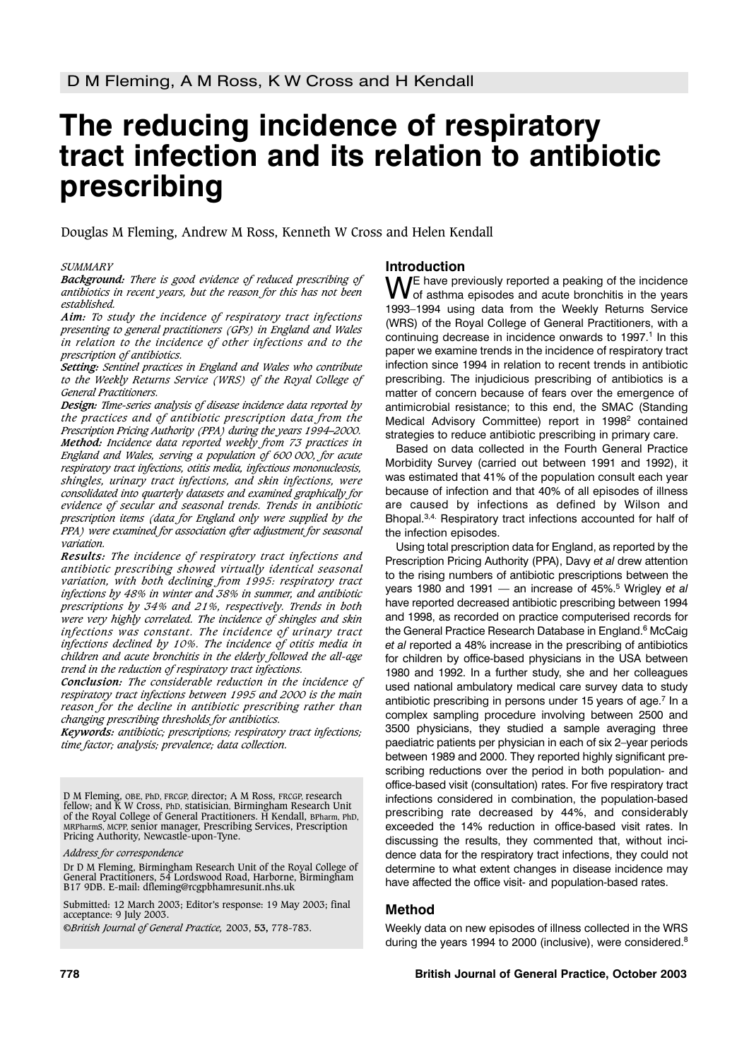# **The reducing incidence of respiratory tract infection and its relation to antibiotic prescribing**

Douglas M Fleming, Andrew M Ross, Kenneth W Cross and Helen Kendall

## *SUMMARY*

*Background: There is good evidence of reduced prescribing of antibiotics in recent years, but the reason for this has not been established.* 

*Aim: To study the incidence of respiratory tract infections presenting to general practitioners (GPs) in England and Wales in relation to the incidence of other infections and to the prescription of antibiotics.*

*Setting: Sentinel practices in England and Wales who contribute to the Weekly Returns Service (WRS) of the Royal College of General Practitioners.* 

*Design: Time-series analysis of disease incidence data reported by the practices and of antibiotic prescription data from the Prescription Pricing Authority (PPA) during the years 1994–2000. Method: Incidence data reported weekly from 73 practices in England and Wales, serving a population of 600 000, for acute respiratory tract infections, otitis media, infectious mononucleosis, shingles, urinary tract infections, and skin infections, were consolidated into quarterly datasets and examined graphically for evidence of secular and seasonal trends. Trends in antibiotic prescription items (data for England only were supplied by the PPA) were examined for association after adjustment for seasonal variation.*

*Results: The incidence of respiratory tract infections and antibiotic prescribing showed virtually identical seasonal variation, with both declining from 1995: respiratory tract infections by 48% in winter and 38% in summer, and antibiotic prescriptions by 34% and 21%, respectively. Trends in both were very highly correlated. The incidence of shingles and skin infections was constant. The incidence of urinary tract infections declined by 10%. The incidence of otitis media in children and acute bronchitis in the elderly followed the all-age trend in the reduction of respiratory tract infections.*

*Conclusion: The considerable reduction in the incidence of respiratory tract infections between 1995 and 2000 is the main reason for the decline in antibiotic prescribing rather than changing prescribing thresholds for antibiotics.*

*Keywords: antibiotic; prescriptions; respiratory tract infections; time factor; analysis; prevalence; data collection.*

D M Fleming, OBE, PhD, FRCGP, director; A M Ross, FRCGP, research fellow; and K W Cross, PhD, statisician, Birmingham Research Unit of the Royal College of General Practitioners. H Kendall, BPharm, PhD, MRPharmS, MCPP, senior manager, Prescribing Services, Prescription Pricing Authority, Newcastle-upon-Tyne.

*Address for correspondence*

Dr D M Fleming, Birmingham Research Unit of the Royal College of General Practitioners, 54 Lordswood Road, Harborne, Birmingham B17 9DB. E-mail: dfleming@rcgpbhamresunit.nhs.uk

Submitted: 12 March 2003; Editor's response: 19 May 2003; final acceptance: 9 July 2003.

©*British Journal of General Practice,* 2003, **53,** 778-783.

## **Introduction**

WE have previously reported a peaking of the incidence<br>of asthma episodes and acute bronchitis in the years 1993–1994 using data from the Weekly Returns Service (WRS) of the Royal College of General Practitioners, with a continuing decrease in incidence onwards to 1997.<sup>1</sup> In this paper we examine trends in the incidence of respiratory tract infection since 1994 in relation to recent trends in antibiotic prescribing. The injudicious prescribing of antibiotics is a matter of concern because of fears over the emergence of antimicrobial resistance; to this end, the SMAC (Standing Medical Advisory Committee) report in 1998<sup>2</sup> contained strategies to reduce antibiotic prescribing in primary care.

Based on data collected in the Fourth General Practice Morbidity Survey (carried out between 1991 and 1992), it was estimated that 41% of the population consult each year because of infection and that 40% of all episodes of illness are caused by infections as defined by Wilson and Bhopal.3,4. Respiratory tract infections accounted for half of the infection episodes.

Using total prescription data for England, as reported by the Prescription Pricing Authority (PPA), Davy *et al* drew attention to the rising numbers of antibiotic prescriptions between the years 1980 and 1991 — an increase of 45%.5 Wrigley *et al* have reported decreased antibiotic prescribing between 1994 and 1998, as recorded on practice computerised records for the General Practice Research Database in England.<sup>6</sup> McCaig *et al* reported a 48% increase in the prescribing of antibiotics for children by office-based physicians in the USA between 1980 and 1992. In a further study, she and her colleagues used national ambulatory medical care survey data to study antibiotic prescribing in persons under 15 years of age.<sup>7</sup> In a complex sampling procedure involving between 2500 and 3500 physicians, they studied a sample averaging three paediatric patients per physician in each of six 2–year periods between 1989 and 2000. They reported highly significant prescribing reductions over the period in both population- and office-based visit (consultation) rates. For five respiratory tract infections considered in combination, the population-based prescribing rate decreased by 44%, and considerably exceeded the 14% reduction in office-based visit rates. In discussing the results, they commented that, without incidence data for the respiratory tract infections, they could not determine to what extent changes in disease incidence may have affected the office visit- and population-based rates.

## **Method**

Weekly data on new episodes of illness collected in the WRS during the years 1994 to 2000 (inclusive), were considered.8

#### **778 British Journal of General Practice, October 2003**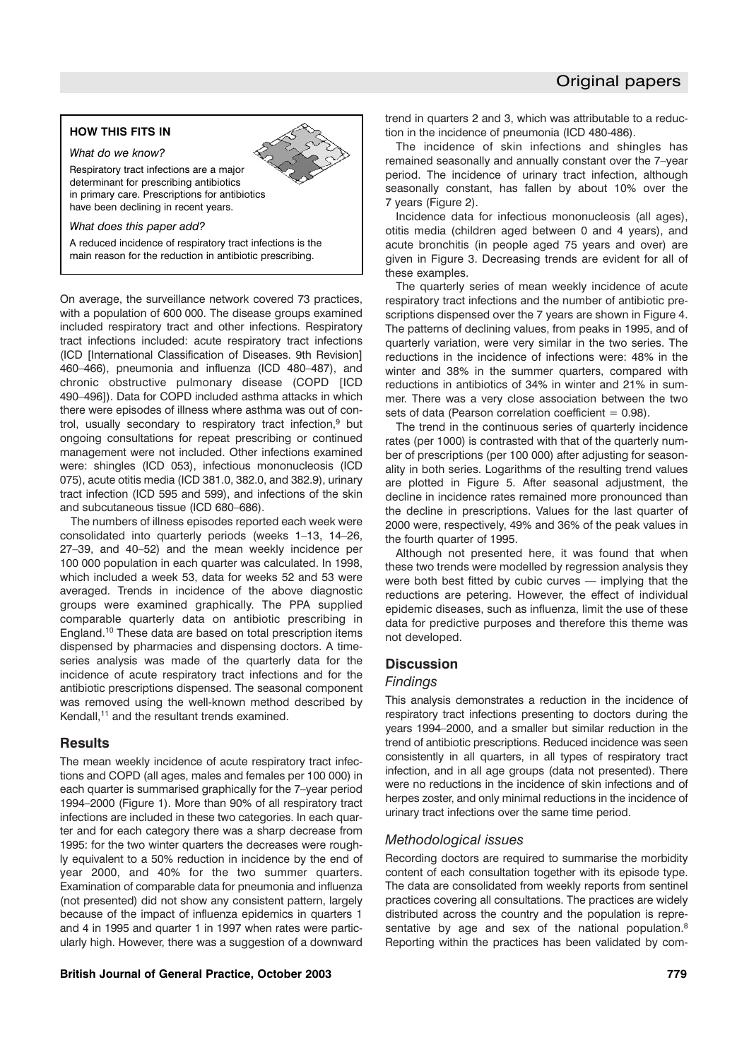## **HOW THIS FITS IN**

*What do we know?*

Respiratory tract infections are a major determinant for prescribing antibiotics in primary care. Prescriptions for antibiotics have been declining in recent years.

*What does this paper add?*

A reduced incidence of respiratory tract infections is the main reason for the reduction in antibiotic prescribing.

On average, the surveillance network covered 73 practices, with a population of 600 000. The disease groups examined included respiratory tract and other infections. Respiratory tract infections included: acute respiratory tract infections (ICD [International Classification of Diseases. 9th Revision] 460–466), pneumonia and influenza (ICD 480–487), and chronic obstructive pulmonary disease (COPD [ICD 490–496]). Data for COPD included asthma attacks in which there were episodes of illness where asthma was out of control, usually secondary to respiratory tract infection,<sup>9</sup> but ongoing consultations for repeat prescribing or continued management were not included. Other infections examined were: shingles (ICD 053), infectious mononucleosis (ICD 075), acute otitis media (ICD 381.0, 382.0, and 382.9), urinary tract infection (ICD 595 and 599), and infections of the skin and subcutaneous tissue (ICD 680–686).

The numbers of illness episodes reported each week were consolidated into quarterly periods (weeks 1–13, 14–26, 27–39, and 40–52) and the mean weekly incidence per 100 000 population in each quarter was calculated. In 1998, which included a week 53, data for weeks 52 and 53 were averaged. Trends in incidence of the above diagnostic groups were examined graphically. The PPA supplied comparable quarterly data on antibiotic prescribing in England.10 These data are based on total prescription items dispensed by pharmacies and dispensing doctors. A timeseries analysis was made of the quarterly data for the incidence of acute respiratory tract infections and for the antibiotic prescriptions dispensed. The seasonal component was removed using the well-known method described by Kendall,<sup>11</sup> and the resultant trends examined.

## **Results**

The mean weekly incidence of acute respiratory tract infections and COPD (all ages, males and females per 100 000) in each quarter is summarised graphically for the 7–year period 1994–2000 (Figure 1). More than 90% of all respiratory tract infections are included in these two categories. In each quarter and for each category there was a sharp decrease from 1995: for the two winter quarters the decreases were roughly equivalent to a 50% reduction in incidence by the end of year 2000, and 40% for the two summer quarters. Examination of comparable data for pneumonia and influenza (not presented) did not show any consistent pattern, largely because of the impact of influenza epidemics in quarters 1 and 4 in 1995 and quarter 1 in 1997 when rates were particularly high. However, there was a suggestion of a downward trend in quarters 2 and 3, which was attributable to a reduction in the incidence of pneumonia (ICD 480-486).

The incidence of skin infections and shingles has remained seasonally and annually constant over the 7–year period. The incidence of urinary tract infection, although seasonally constant, has fallen by about 10% over the 7 years (Figure 2).

Incidence data for infectious mononucleosis (all ages), otitis media (children aged between 0 and 4 years), and acute bronchitis (in people aged 75 years and over) are given in Figure 3. Decreasing trends are evident for all of these examples.

The quarterly series of mean weekly incidence of acute respiratory tract infections and the number of antibiotic prescriptions dispensed over the 7 years are shown in Figure 4. The patterns of declining values, from peaks in 1995, and of quarterly variation, were very similar in the two series. The reductions in the incidence of infections were: 48% in the winter and 38% in the summer quarters, compared with reductions in antibiotics of 34% in winter and 21% in summer. There was a very close association between the two sets of data (Pearson correlation coefficient  $= 0.98$ ).

The trend in the continuous series of quarterly incidence rates (per 1000) is contrasted with that of the quarterly number of prescriptions (per 100 000) after adjusting for seasonality in both series. Logarithms of the resulting trend values are plotted in Figure 5. After seasonal adjustment, the decline in incidence rates remained more pronounced than the decline in prescriptions. Values for the last quarter of 2000 were, respectively, 49% and 36% of the peak values in the fourth quarter of 1995.

Although not presented here, it was found that when these two trends were modelled by regression analysis they were both best fitted by cubic curves — implying that the reductions are petering. However, the effect of individual epidemic diseases, such as influenza, limit the use of these data for predictive purposes and therefore this theme was not developed.

## **Discussion**

## *Findings*

This analysis demonstrates a reduction in the incidence of respiratory tract infections presenting to doctors during the years 1994–2000, and a smaller but similar reduction in the trend of antibiotic prescriptions. Reduced incidence was seen consistently in all quarters, in all types of respiratory tract infection, and in all age groups (data not presented). There were no reductions in the incidence of skin infections and of herpes zoster, and only minimal reductions in the incidence of urinary tract infections over the same time period.

## *Methodological issues*

Recording doctors are required to summarise the morbidity content of each consultation together with its episode type. The data are consolidated from weekly reports from sentinel practices covering all consultations. The practices are widely distributed across the country and the population is representative by age and sex of the national population.<sup>8</sup> Reporting within the practices has been validated by com-

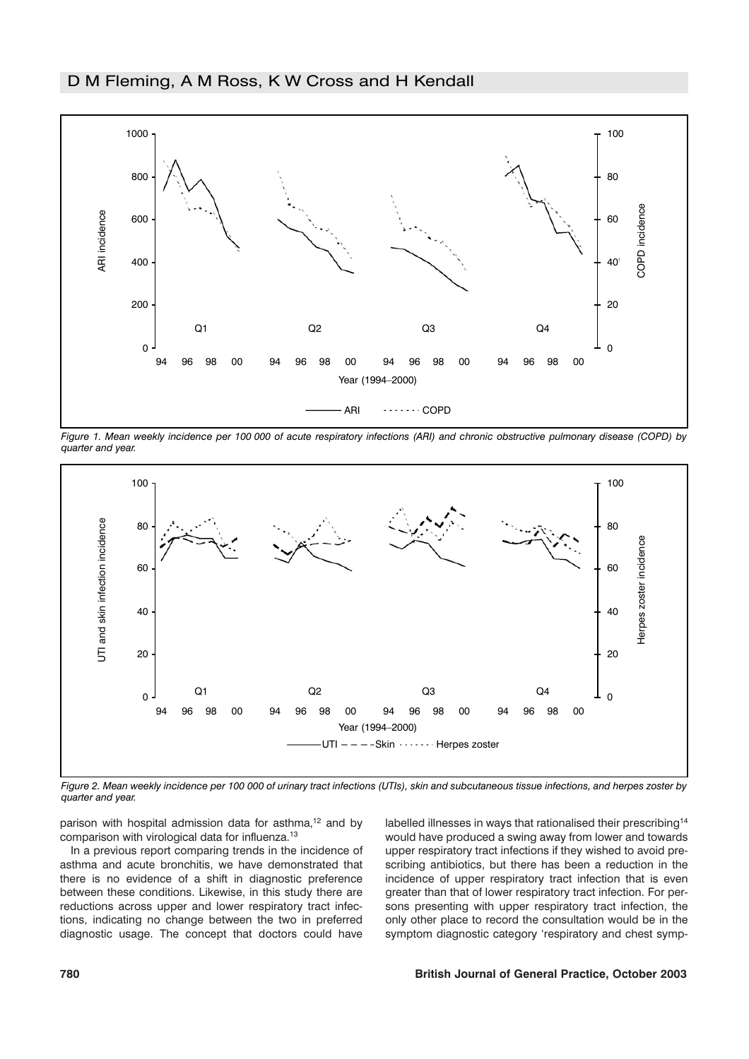

*Figure 1. Mean weekly incidence per 100 000 of acute respiratory infections (ARI) and chronic obstructive pulmonary disease (COPD) by quarter and year.*



*Figure 2. Mean weekly incidence per 100 000 of urinary tract infections (UTIs), skin and subcutaneous tissue infections, and herpes zoster by quarter and year.*

parison with hospital admission data for asthma,<sup>12</sup> and by comparison with virological data for influenza.13

In a previous report comparing trends in the incidence of asthma and acute bronchitis, we have demonstrated that there is no evidence of a shift in diagnostic preference between these conditions. Likewise, in this study there are reductions across upper and lower respiratory tract infections, indicating no change between the two in preferred diagnostic usage. The concept that doctors could have

labelled illnesses in ways that rationalised their prescribing<sup>14</sup> would have produced a swing away from lower and towards upper respiratory tract infections if they wished to avoid prescribing antibiotics, but there has been a reduction in the incidence of upper respiratory tract infection that is even greater than that of lower respiratory tract infection. For persons presenting with upper respiratory tract infection, the only other place to record the consultation would be in the symptom diagnostic category 'respiratory and chest symp-

### **780 British Journal of General Practice, October 2003**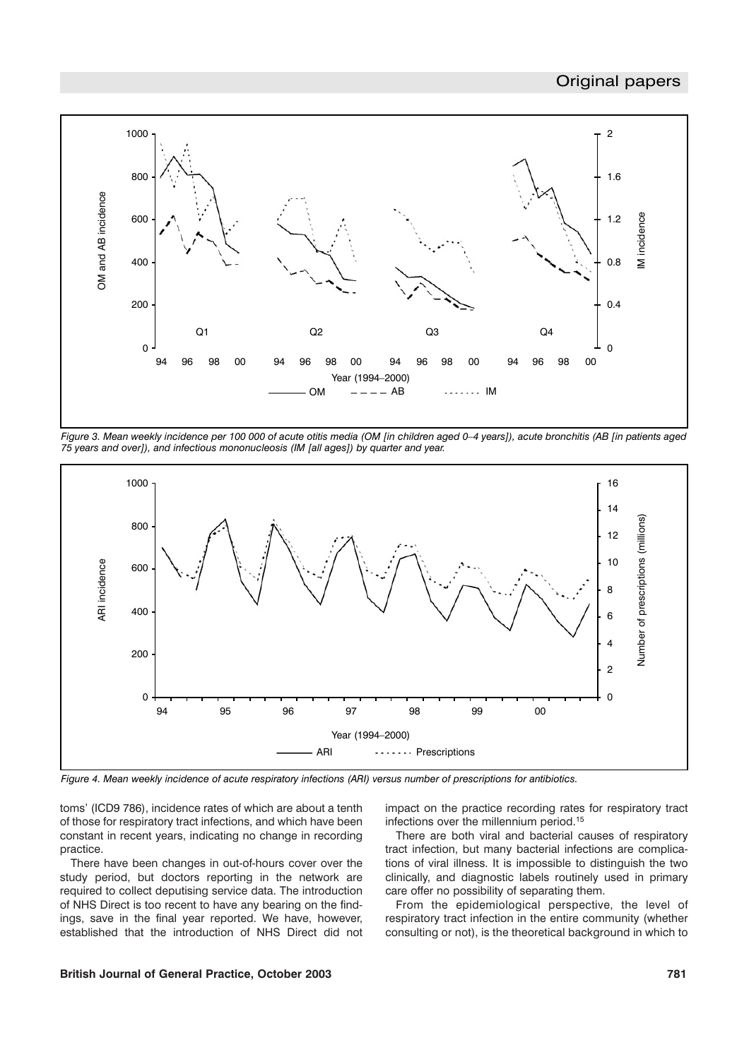# Original papers



*Figure 3. Mean weekly incidence per 100 000 of acute otitis media (OM [in children aged 0–4 years]), acute bronchitis (AB [in patients aged 75 years and over]), and infectious mononucleosis (IM [all ages]) by quarter and year.*



*Figure 4. Mean weekly incidence of acute respiratory infections (ARI) versus number of prescriptions for antibiotics.*

toms' (ICD9 786), incidence rates of which are about a tenth of those for respiratory tract infections, and which have been constant in recent years, indicating no change in recording practice.

There have been changes in out-of-hours cover over the study period, but doctors reporting in the network are required to collect deputising service data. The introduction of NHS Direct is too recent to have any bearing on the findings, save in the final year reported. We have, however, established that the introduction of NHS Direct did not impact on the practice recording rates for respiratory tract infections over the millennium period.15

There are both viral and bacterial causes of respiratory tract infection, but many bacterial infections are complications of viral illness. It is impossible to distinguish the two clinically, and diagnostic labels routinely used in primary care offer no possibility of separating them.

From the epidemiological perspective, the level of respiratory tract infection in the entire community (whether consulting or not), is the theoretical background in which to

## **British Journal of General Practice, October 2003 781**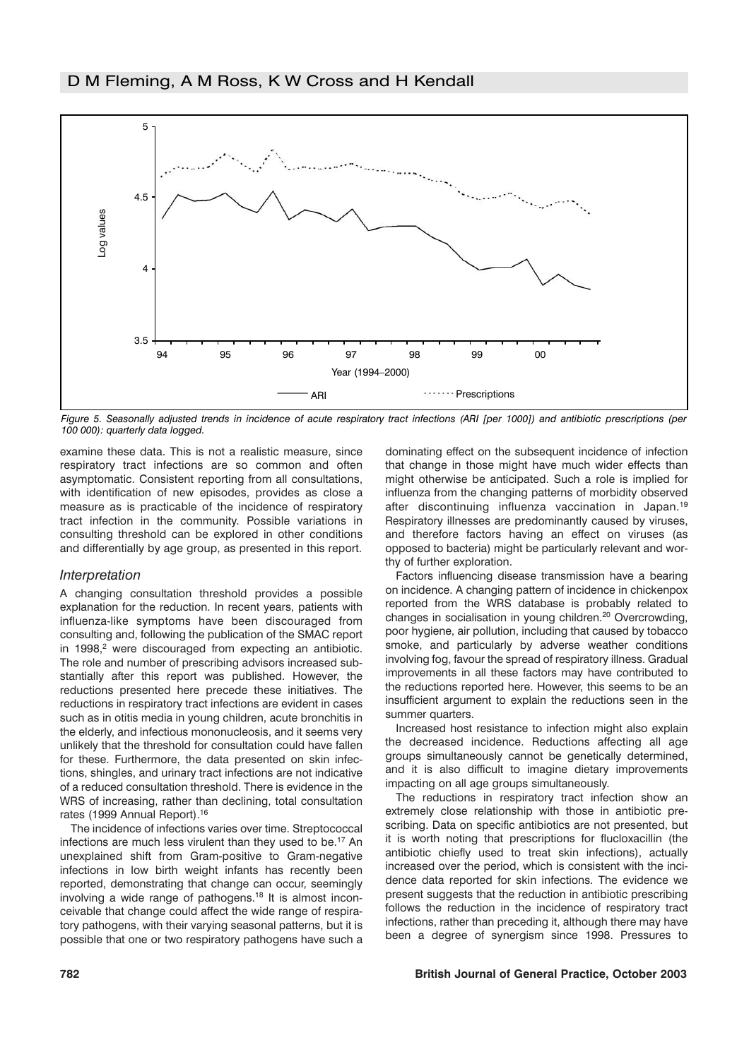

*Figure 5. Seasonally adjusted trends in incidence of acute respiratory tract infections (ARI [per 1000]) and antibiotic prescriptions (per 100 000): quarterly data logged.*

examine these data. This is not a realistic measure, since respiratory tract infections are so common and often asymptomatic. Consistent reporting from all consultations, with identification of new episodes, provides as close a measure as is practicable of the incidence of respiratory tract infection in the community. Possible variations in consulting threshold can be explored in other conditions and differentially by age group, as presented in this report.

## *Interpretation*

A changing consultation threshold provides a possible explanation for the reduction. In recent years, patients with influenza-like symptoms have been discouraged from consulting and, following the publication of the SMAC report in  $1998$ , were discouraged from expecting an antibiotic. The role and number of prescribing advisors increased substantially after this report was published. However, the reductions presented here precede these initiatives. The reductions in respiratory tract infections are evident in cases such as in otitis media in young children, acute bronchitis in the elderly, and infectious mononucleosis, and it seems very unlikely that the threshold for consultation could have fallen for these. Furthermore, the data presented on skin infections, shingles, and urinary tract infections are not indicative of a reduced consultation threshold. There is evidence in the WRS of increasing, rather than declining, total consultation rates (1999 Annual Report).16

The incidence of infections varies over time. Streptococcal infections are much less virulent than they used to be.<sup>17</sup> An unexplained shift from Gram-positive to Gram-negative infections in low birth weight infants has recently been reported, demonstrating that change can occur, seemingly involving a wide range of pathogens.18 It is almost inconceivable that change could affect the wide range of respiratory pathogens, with their varying seasonal patterns, but it is possible that one or two respiratory pathogens have such a

dominating effect on the subsequent incidence of infection that change in those might have much wider effects than might otherwise be anticipated. Such a role is implied for influenza from the changing patterns of morbidity observed after discontinuing influenza vaccination in Japan.19 Respiratory illnesses are predominantly caused by viruses, and therefore factors having an effect on viruses (as opposed to bacteria) might be particularly relevant and worthy of further exploration.

Factors influencing disease transmission have a bearing on incidence. A changing pattern of incidence in chickenpox reported from the WRS database is probably related to changes in socialisation in young children.20 Overcrowding, poor hygiene, air pollution, including that caused by tobacco smoke, and particularly by adverse weather conditions involving fog, favour the spread of respiratory illness. Gradual improvements in all these factors may have contributed to the reductions reported here. However, this seems to be an insufficient argument to explain the reductions seen in the summer quarters.

Increased host resistance to infection might also explain the decreased incidence. Reductions affecting all age groups simultaneously cannot be genetically determined, and it is also difficult to imagine dietary improvements impacting on all age groups simultaneously.

The reductions in respiratory tract infection show an extremely close relationship with those in antibiotic prescribing. Data on specific antibiotics are not presented, but it is worth noting that prescriptions for flucloxacillin (the antibiotic chiefly used to treat skin infections), actually increased over the period, which is consistent with the incidence data reported for skin infections. The evidence we present suggests that the reduction in antibiotic prescribing follows the reduction in the incidence of respiratory tract infections, rather than preceding it, although there may have been a degree of synergism since 1998. Pressures to

#### **782 British Journal of General Practice, October 2003**